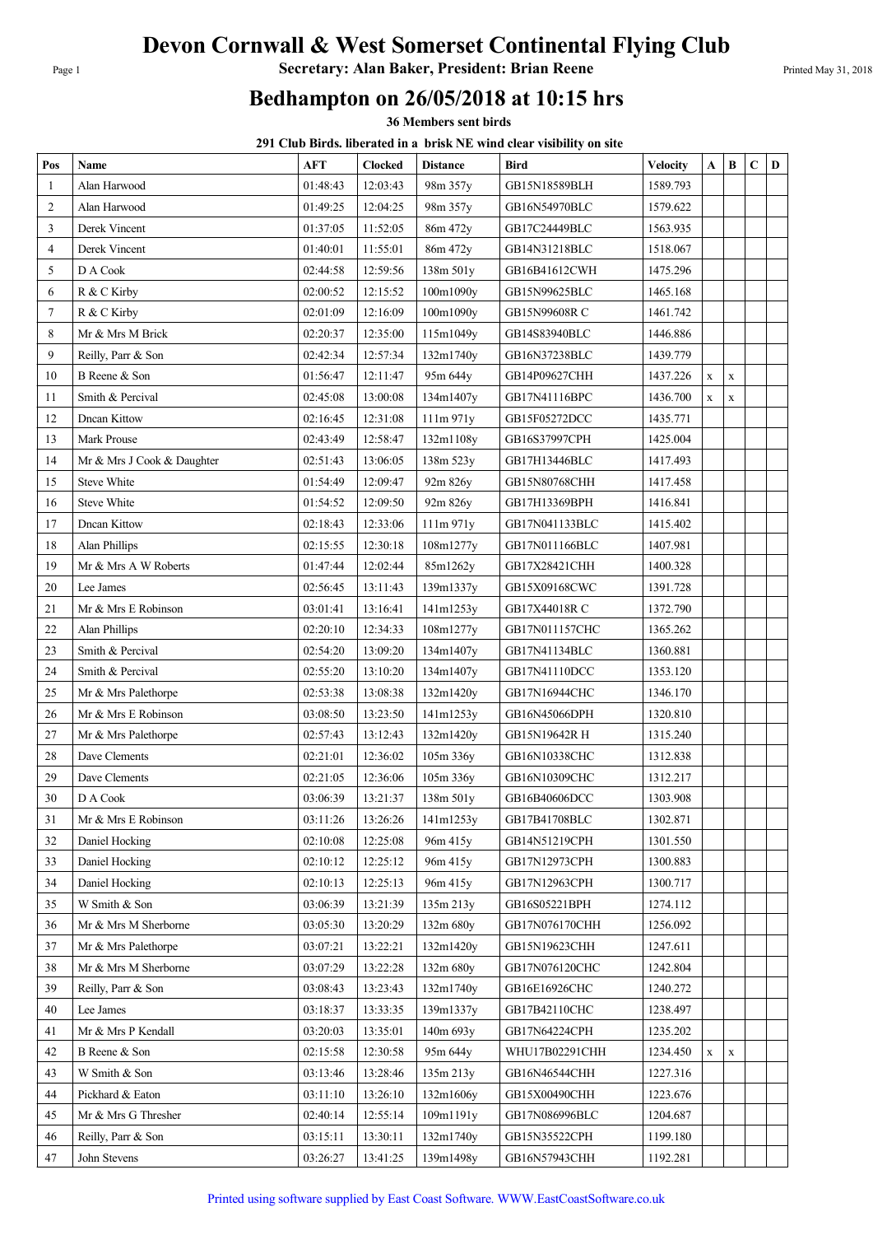## Devon Cornwall & West Somerset Continental Flying Club

Page 1 **Secretary: Alan Baker, President: Brian Reene** Printed May 31, 2018

## Bedhampton on 26/05/2018 at 10:15 hrs

36 Members sent birds

291 Club Birds. liberated in a brisk NE wind clear visibility on site

| Pos            | Name                       | AFT      | Clocked  | <b>Distance</b> | Bird                 | <b>Velocity</b> | A           | B           | $\mathbf C$ | D |
|----------------|----------------------------|----------|----------|-----------------|----------------------|-----------------|-------------|-------------|-------------|---|
| 1              | Alan Harwood               | 01:48:43 | 12:03:43 | 98m 357y        | GB15N18589BLH        | 1589.793        |             |             |             |   |
| $\overline{c}$ | Alan Harwood               | 01:49:25 | 12:04:25 | 98m 357y        | GB16N54970BLC        | 1579.622        |             |             |             |   |
| 3              | Derek Vincent              | 01:37:05 | 11:52:05 | 86m 472y        | GB17C24449BLC        | 1563.935        |             |             |             |   |
| 4              | Derek Vincent              | 01:40:01 | 11:55:01 | 86m 472y        | GB14N31218BLC        | 1518.067        |             |             |             |   |
| 5              | D A Cook                   | 02:44:58 | 12:59:56 | 138m 501y       | GB16B41612CWH        | 1475.296        |             |             |             |   |
| 6              | R & C Kirby                | 02:00:52 | 12:15:52 | 100m1090y       | GB15N99625BLC        | 1465.168        |             |             |             |   |
| 7              | R & C Kirby                | 02:01:09 | 12:16:09 | 100m1090y       | GB15N99608R C        | 1461.742        |             |             |             |   |
| 8              | Mr & Mrs M Brick           | 02:20:37 | 12:35:00 | 115m1049y       | GB14S83940BLC        | 1446.886        |             |             |             |   |
| 9              | Reilly, Parr & Son         | 02:42:34 | 12:57:34 | 132m1740y       | GB16N37238BLC        | 1439.779        |             |             |             |   |
| 10             | B Reene & Son              | 01:56:47 | 12:11:47 | 95m 644y        | GB14P09627CHH        | 1437.226        | $\mathbf x$ | $\mathbf X$ |             |   |
| 11             | Smith & Percival           | 02:45:08 | 13:00:08 | 134m1407y       | GB17N41116BPC        | 1436.700        | $\mathbf X$ | $\mathbf X$ |             |   |
| 12             | <b>Dncan Kittow</b>        | 02:16:45 | 12:31:08 | 111m 971y       | GB15F05272DCC        | 1435.771        |             |             |             |   |
| 13             | Mark Prouse                | 02:43:49 | 12:58:47 | 132m1108y       | GB16S37997CPH        | 1425.004        |             |             |             |   |
| 14             | Mr & Mrs J Cook & Daughter | 02:51:43 | 13:06:05 | 138m 523y       | GB17H13446BLC        | 1417.493        |             |             |             |   |
| 15             | <b>Steve White</b>         | 01:54:49 | 12:09:47 | 92m 826y        | <b>GB15N80768CHH</b> | 1417.458        |             |             |             |   |
| 16             | <b>Steve White</b>         | 01:54:52 | 12:09:50 | 92m 826y        | GB17H13369BPH        | 1416.841        |             |             |             |   |
| 17             | Dncan Kittow               | 02:18:43 | 12:33:06 | 111m 971y       | GB17N041133BLC       | 1415.402        |             |             |             |   |
| 18             | Alan Phillips              | 02:15:55 | 12:30:18 | 108m1277y       | GB17N011166BLC       | 1407.981        |             |             |             |   |
| 19             | Mr & Mrs A W Roberts       | 01:47:44 | 12:02:44 | 85m1262y        | GB17X28421CHH        | 1400.328        |             |             |             |   |
| 20             | Lee James                  | 02:56:45 | 13:11:43 | 139m1337y       | GB15X09168CWC        | 1391.728        |             |             |             |   |
| 21             | Mr & Mrs E Robinson        | 03:01:41 | 13:16:41 | 141m1253y       | GB17X44018R C        | 1372.790        |             |             |             |   |
| 22             | <b>Alan Phillips</b>       | 02:20:10 | 12:34:33 | 108m1277y       | GB17N011157CHC       | 1365.262        |             |             |             |   |
| 23             | Smith & Percival           | 02:54:20 | 13:09:20 | 134m1407y       | GB17N41134BLC        | 1360.881        |             |             |             |   |
| 24             | Smith & Percival           | 02:55:20 | 13:10:20 | 134m1407y       | GB17N41110DCC        | 1353.120        |             |             |             |   |
| 25             | Mr & Mrs Palethorpe        | 02:53:38 | 13:08:38 | 132m1420y       | GB17N16944CHC        | 1346.170        |             |             |             |   |
| 26             | Mr & Mrs E Robinson        | 03:08:50 | 13:23:50 | 141m1253y       | GB16N45066DPH        | 1320.810        |             |             |             |   |
| 27             | Mr & Mrs Palethorpe        | 02:57:43 | 13:12:43 | 132m1420y       | GB15N19642R H        | 1315.240        |             |             |             |   |
| 28             | Dave Clements              | 02:21:01 | 12:36:02 | 105m 336y       | GB16N10338CHC        | 1312.838        |             |             |             |   |
| 29             | Dave Clements              | 02:21:05 | 12:36:06 | 105m 336y       | GB16N10309CHC        | 1312.217        |             |             |             |   |
| 30             | D A Cook                   | 03:06:39 | 13:21:37 | 138m 501y       | GB16B40606DCC        | 1303.908        |             |             |             |   |
| 31             | Mr & Mrs E Robinson        | 03:11:26 | 13:26:26 | 141m1253y       | GB17B41708BLC        | 1302.871        |             |             |             |   |
| 32             | Daniel Hocking             | 02:10:08 | 12:25:08 | 96m 415y        | GB14N51219CPH        | 1301.550        |             |             |             |   |
| 33             | Daniel Hocking             | 02:10:12 | 12:25:12 | 96m 415y        | GB17N12973CPH        | 1300.883        |             |             |             |   |
| 34             | Daniel Hocking             | 02:10:13 | 12:25:13 | 96m 415y        | GB17N12963CPH        | 1300.717        |             |             |             |   |
| 35             | W Smith & Son              | 03:06:39 | 13:21:39 | 135m 213y       | GB16S05221BPH        | 1274.112        |             |             |             |   |
| 36             | Mr & Mrs M Sherborne       | 03:05:30 | 13:20:29 | 132m 680y       | GB17N076170CHH       | 1256.092        |             |             |             |   |
| 37             | Mr & Mrs Palethorpe        | 03:07:21 | 13:22:21 | 132m1420y       | GB15N19623CHH        | 1247.611        |             |             |             |   |
| 38             | Mr & Mrs M Sherborne       | 03:07:29 | 13:22:28 | 132m 680y       | GB17N076120CHC       | 1242.804        |             |             |             |   |
| 39             | Reilly, Parr & Son         | 03:08:43 | 13:23:43 | 132m1740y       | GB16E16926CHC        | 1240.272        |             |             |             |   |
| 40             | Lee James                  | 03:18:37 | 13:33:35 | 139m1337y       | GB17B42110CHC        | 1238.497        |             |             |             |   |
| 41             | Mr & Mrs P Kendall         | 03:20:03 | 13:35:01 | 140m 693y       | GB17N64224CPH        | 1235.202        |             |             |             |   |
| 42             | B Reene & Son              | 02:15:58 | 12:30:58 | 95m 644y        | WHU17B02291CHH       | 1234.450        | $\mathbf X$ | $\mathbf X$ |             |   |
| 43             | W Smith & Son              | 03:13:46 | 13:28:46 | 135m 213y       | GB16N46544CHH        | 1227.316        |             |             |             |   |
| 44             | Pickhard & Eaton           | 03:11:10 | 13:26:10 | 132m1606y       | GB15X00490CHH        | 1223.676        |             |             |             |   |
| 45             | Mr & Mrs G Thresher        | 02:40:14 | 12:55:14 | 109m1191y       | GB17N086996BLC       | 1204.687        |             |             |             |   |
| 46             | Reilly, Parr & Son         | 03:15:11 | 13:30:11 | 132m1740y       | GB15N35522CPH        | 1199.180        |             |             |             |   |
| 47             | John Stevens               | 03:26:27 | 13:41:25 | 139m1498y       | GB16N57943CHH        | 1192.281        |             |             |             |   |